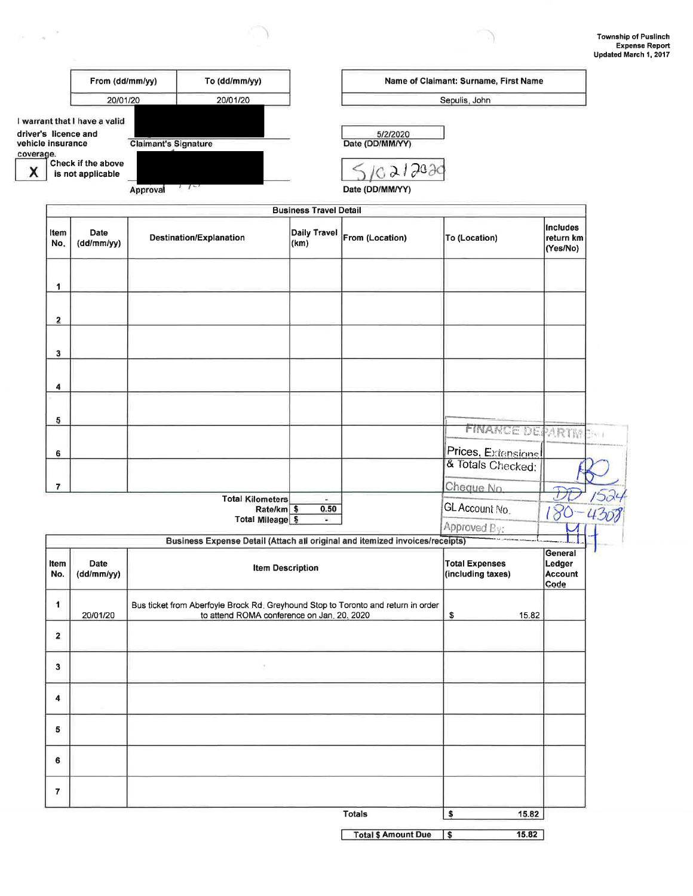-19

|                                |                                                                                                  | To (dd/mm/yy)<br>From (dd/mm/yy)                                                                                                |                                                                              |                               |                                                          | Name of Claimant: Surname, First Name   |                                   |
|--------------------------------|--------------------------------------------------------------------------------------------------|---------------------------------------------------------------------------------------------------------------------------------|------------------------------------------------------------------------------|-------------------------------|----------------------------------------------------------|-----------------------------------------|-----------------------------------|
|                                | 20/01/20                                                                                         |                                                                                                                                 | 20/01/20                                                                     |                               |                                                          | Sepulis, John                           |                                   |
| vehicle insurance<br>coverage. | I warrant that I have a valid<br>driver's licence and<br>Check if the above<br>is not applicable | <b>Claimant's Signature</b><br>Approval                                                                                         | $1 - 1$                                                                      |                               | 5/2/2020<br>Date (DD/MM/YY)<br>021202<br>Date (DD/MM/YY) |                                         |                                   |
|                                |                                                                                                  |                                                                                                                                 |                                                                              | <b>Business Travel Detail</b> |                                                          |                                         |                                   |
| ltem<br>No.                    | Date<br>(dd/mm/yy)                                                                               |                                                                                                                                 | Destination/Explanation                                                      | <b>Daily Travel</b><br>(km)   | From (Location)                                          | <b>To (Location)</b>                    | Includes<br>return km<br>(Yes/No) |
| 1                              |                                                                                                  |                                                                                                                                 |                                                                              |                               |                                                          |                                         |                                   |
|                                |                                                                                                  |                                                                                                                                 |                                                                              |                               |                                                          |                                         |                                   |
| $\overline{\mathbf{2}}$        |                                                                                                  |                                                                                                                                 |                                                                              |                               |                                                          |                                         |                                   |
| 3                              |                                                                                                  |                                                                                                                                 |                                                                              |                               |                                                          |                                         |                                   |
| 4                              |                                                                                                  |                                                                                                                                 |                                                                              |                               |                                                          |                                         |                                   |
| 5                              |                                                                                                  |                                                                                                                                 |                                                                              |                               |                                                          |                                         |                                   |
|                                |                                                                                                  |                                                                                                                                 |                                                                              |                               |                                                          | FINANCE DEPARTMENT                      |                                   |
| 6                              |                                                                                                  |                                                                                                                                 |                                                                              |                               |                                                          | Prices, Extensions<br>& Totals Checked: |                                   |
| $\overline{7}$                 |                                                                                                  |                                                                                                                                 |                                                                              |                               |                                                          | Cheque No.                              |                                   |
|                                |                                                                                                  |                                                                                                                                 | <b>Total Kilometers</b><br>Rate/km \$                                        | ÷.<br>0.50                    |                                                          | GL Account No.                          |                                   |
|                                |                                                                                                  |                                                                                                                                 | <b>Total Mileage \$</b>                                                      | $\bullet$                     |                                                          | Approved By:                            |                                   |
|                                |                                                                                                  |                                                                                                                                 | Business Expense Detail (Attach all original and itemized invoices/receipts) |                               |                                                          |                                         |                                   |
| Item<br>No.                    | Date<br>(dd/mm/yy)                                                                               | <b>Item Description</b>                                                                                                         |                                                                              |                               | <b>Total Expenses</b><br>(including taxes)               | General<br>Ledger<br>Account<br>Code    |                                   |
| 1                              | 20/01/20                                                                                         | Bus ticket from Aberfoyle Brock Rd. Greyhound Stop to Toronto and return in order<br>to attend ROMA conference on Jan. 20, 2020 |                                                                              |                               | \$<br>15.82                                              |                                         |                                   |
| $\overline{\mathbf{2}}$        |                                                                                                  |                                                                                                                                 |                                                                              |                               |                                                          |                                         |                                   |
| $\mathbf{3}$                   |                                                                                                  |                                                                                                                                 |                                                                              |                               |                                                          |                                         |                                   |
| 4                              |                                                                                                  |                                                                                                                                 |                                                                              |                               |                                                          |                                         |                                   |
| 5                              |                                                                                                  |                                                                                                                                 |                                                                              |                               |                                                          |                                         |                                   |
| 6                              |                                                                                                  |                                                                                                                                 |                                                                              |                               |                                                          |                                         |                                   |
| $\overline{\mathbf{r}}$        |                                                                                                  |                                                                                                                                 |                                                                              |                               |                                                          |                                         |                                   |
|                                |                                                                                                  |                                                                                                                                 |                                                                              |                               | <b>Totals</b>                                            | $$\mathsf{s}$$<br>15.82                 |                                   |

 $\alpha = \alpha^{-2}$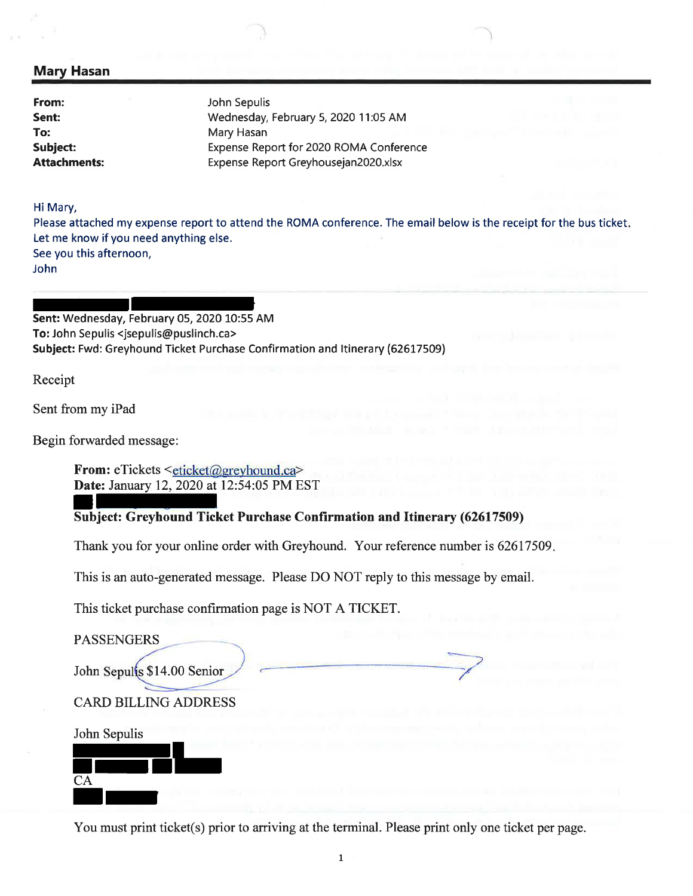## Mary Hasan

From: Sent: To: Subject: Attachments: John Sepulis Wednesday, February 5,2020 11:05 AM Mary Hasan Expense Report for 2020 ROMA Conference Expense Report Greyhousejan2020.xlsx

Hi Mary,

Please attached my expense report to attend the ROMA conference. The email below is the receipt for the bus ticket Let me know if you need anything else. See you this afternoon, John

Sent: Wednesday, February 05, 2020 10:55 AM To: John Sepulis <jsepulis@puslinch.ca> Subject: Fwd: Greyhound Ticket Purchase Confirmation and ltinerary (62617509)

Receipt

Sent from my iPad

Begin forwarded message:

From: eTickets <eticket@greyhound.ca> Date: January 12, 2020 at 12:54:05 PM EST

Subject: Greyhound Ticket Purchase Confirmation and Itinerary (62617509)

Thank you for your online order with Greyhound. Your reference number is 62617509

This is an auto-generated message. Please DO NOT reply to this message by email.

This ticket purchase confirmation page is NOT A TICKET.

PASSENGERS

John Sepults \$14.00 Senior

CARD BILLING ADDRESS



You must print ticket(s) prior to arriving at the terminal. Please print only one ticket per page.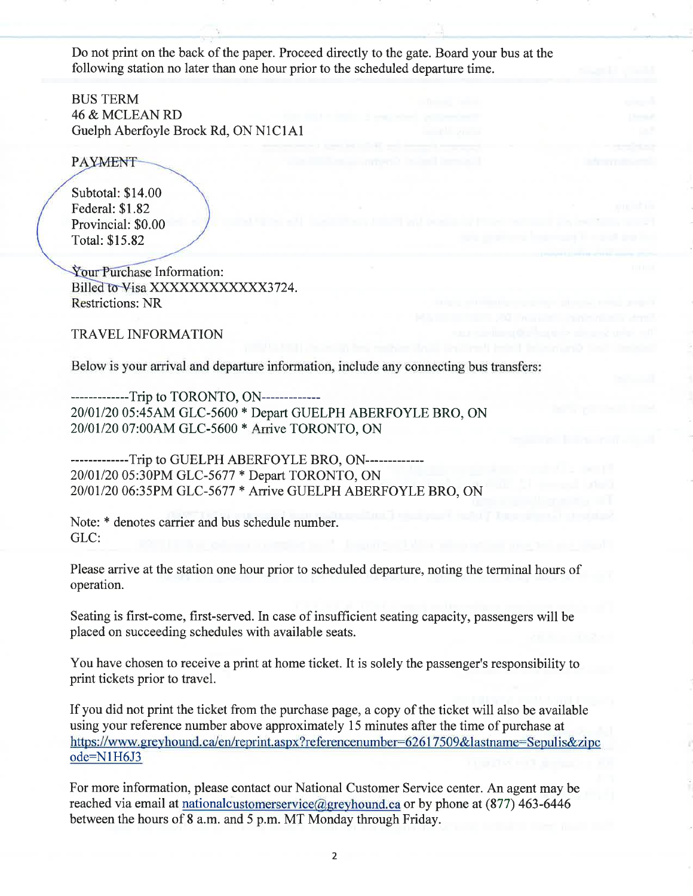Do not print on the back of the paper. Proceed directly to the gate. Board your bus at the following station no later than one hour prior to the scheduled departure time.

BUS TERM 46 & MCLEAN RD Guelph Aberfoyle Brock Rd, ON NlClAl

**PAYMENT** 

Subtotal: \$14.00 Federal: \$1.82 Provincial: \$0.00 Total: \$15.82

Your Purchase Information: Billed to Visa XXXXXXXXXXXX3724. Restrictions: NR

TRAVEL INFORMATION

Below is your arrival and departure information, include any connecting bus transfers:

-------------Trip to TORONTO, ON------------- <sup>20101120</sup>05:454M GLC-5600 \* Depart GUELPH ABERFOYLE BRO, ON <sup>20101120</sup>07:004M GLC-5600 \* Arrive TORONTO, ON

-------------Trip to GUELPH ABERFOYLE BRO, ON------------- <sup>20101120</sup>05:30PM GLC-5677 \* Depart TORONTO, ON <sup>20101120</sup>06:35PM GLC-5677 \* Arrive GUELPH ABERFOYLE BRO, ON

Note: \* denotes carrier and bus schedule number. GLC:

Please arrive at the station one hour prior to scheduled departure, noting the terminal hours of operation.

Seating is first-come, first-served. In case of insufficient seating capacity, passengers will be placed on succeeding schedules with available seats.

You have chosen to receive a print at home ticket. It is solely the passenger's responsibility to print tickets prior to travel.

If you did not print the ticket from the purchase page, a copy of the ticket will also be available using your reference number above approximately 15 minutes after the time of purchase at https://www.greyhound.ca/en/reprint.aspx?referencenumber=62617509&lastname=Sepulis&zipc ode=N1H6J3

For more information, please contact our National Customer Service center. An agent may be reached via email at nationalcustomerservice@greyhound.ca or by phone at  $(877)$  463-6446 between the hours of 8 a.m. and 5 p.m. MT Monday through Friday.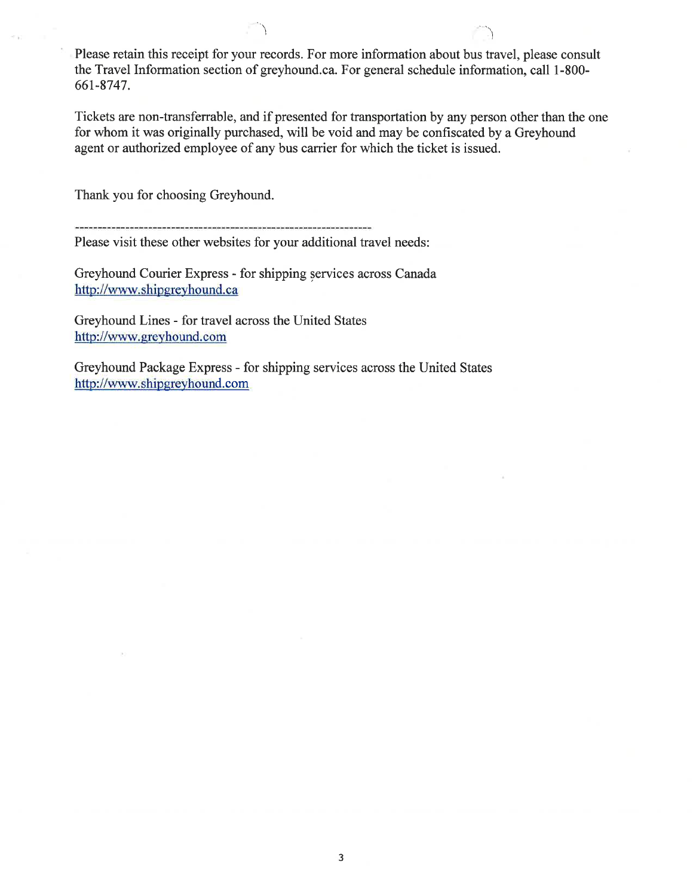Please retain this receipt for your records. For more information about bus travel, please consult the Travel Information section of greyhound.ca. For general schedule information, call 1-800- 661-8747.

\ '\,

Tickets are non-transferrable, and if presented for transportation by any person other than the one for whom it was originally purchased, will be void and may be confiscated by a Greyhound agent or authorized employee of any bus carrier for which the ticket is issued.

Thank you for choosing Greyhound.

Please visit these other websites for your additional travel needs:

Greyhound Courier Express - for shipping services across Canada http://www.shipgreyhound.ca

Greyhound Lines - for travel across the United States http ://www. ereyhound. com

Greyhound Package Express - for shipping services across the United States http://www.shipgreyhound.com